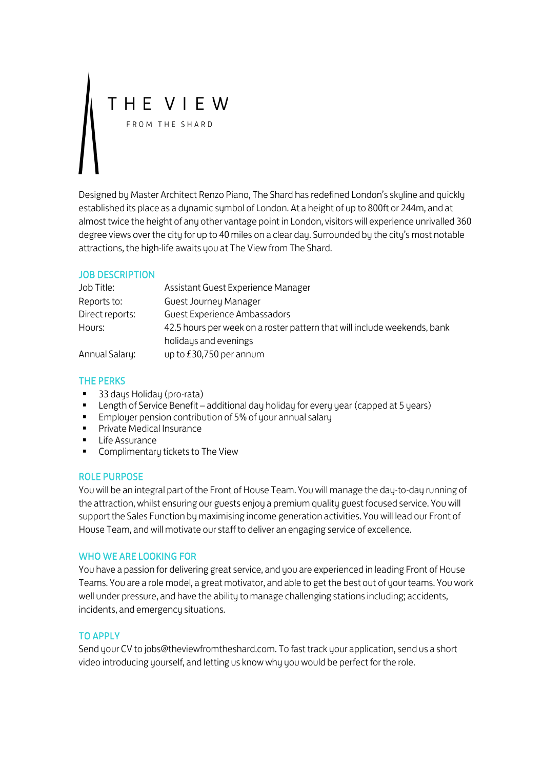# THE VIEW

Designed by Master Architect Renzo Piano, The Shard has redefined London's skyline and quickly established its place as a dynamic symbol of London. At a height of up to 800ft or 244m, and at almost twice the height of any other vantage point in London, visitors will experience unrivalled 360 degree views over the city for up to 40 miles on a clear day. Surrounded by the city's most notable attractions, the high-life awaits you at The View from The Shard.

### JOB DESCRIPTION

| Job Title:      | Assistant Guest Experience Manager                                       |
|-----------------|--------------------------------------------------------------------------|
| Reports to:     | Guest Journey Manager                                                    |
| Direct reports: | Guest Experience Ambassadors                                             |
| Hours:          | 42.5 hours per week on a roster pattern that will include weekends, bank |
|                 | holidays and evenings                                                    |
| Annual Salary:  | up to £30,750 per annum                                                  |

## THE PERKS

- 33 days Holiday (pro-rata)
- Length of Service Benefit additional day holiday for every year (capped at 5 years)
- **Employer pension contribution of 5% of your annual salary**
- **Private Medical Insurance**
- **E** Life Assurance
- **Complimentary tickets to The View**

#### ROLE PURPOSE

You will be an integral part of the Front of House Team. You will manage the day-to-day running of the attraction, whilst ensuring our guests enjoy a premium quality guest focused service. You will support the Sales Function by maximising income generation activities. You will lead our Front of House Team, and will motivate our staff to deliver an engaging service of excellence.

#### WHO WE ARE LOOKING FOR

You have a passion for delivering great service, and you are experienced in leading Front of House Teams. You are a role model, a great motivator, and able to get the best out of your teams. You work well under pressure, and have the ability to manage challenging stations including; accidents, incidents, and emergency situations.

## TO APPLY

Send your CV to jobs@theviewfromtheshard.com. To fast track your application, send us a short video introducing yourself, and letting us know why you would be perfect for the role.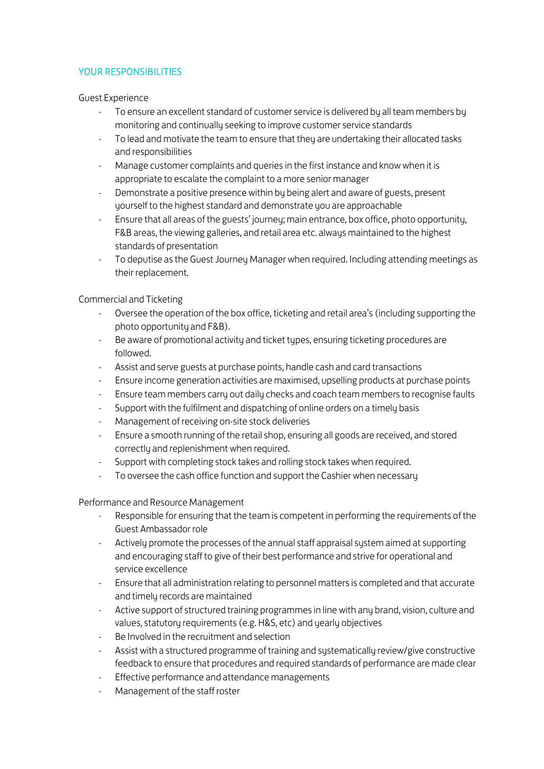## YOUR RESPONSIBILITIES

Guest Experience

- To ensure an excellent standard of customer service is delivered by all team members by monitoring and continually seeking to improve customer service standards
- To lead and motivate the team to ensure that they are undertaking their allocated tasks and responsibilities
- Manage customer complaints and queries in the first instance and know when it is appropriate to escalate the complaint to a more senior manager
- Demonstrate a positive presence within by being alert and aware of guests, present yourself to the highest standard and demonstrate you are approachable
- Ensure that all areas of the guests' journey; main entrance, box office, photo opportunity, F&B areas, the viewing galleries, and retail area etc. always maintained to the highest standards of presentation
- To deputise as the Guest Journey Manager when required. Including attending meetings as their replacement.

Commercial and Ticketing

- Oversee the operation of the box office, ticketing and retail area's (including supporting the photo opportunity and F&B).
- Be aware of promotional activity and ticket types, ensuring ticketing procedures are followed.
- Assist and serve guests at purchase points, handle cash and card transactions
- Ensure income generation activities are maximised, upselling products at purchase points
- Ensure team members carry out daily checks and coach team members to recognise faults
- Support with the fulfilment and dispatching of online orders on a timely basis
- Management of receiving on-site stock deliveries
- Ensure a smooth running of the retail shop, ensuring all goods are received, and stored correctly and replenishment when required.
- Support with completing stock takes and rolling stock takes when required.
- To oversee the cash office function and support the Cashier when necessary

Performance and Resource Management

- Responsible for ensuring that the team is competent in performing the requirements of the Guest Ambassador role
- Actively promote the processes of the annual staff appraisal system aimed at supporting and encouraging staff to give of their best performance and strive for operational and service excellence
- Ensure that all administration relating to personnel matters is completed and that accurate and timely records are maintained
- Active support of structured training programmes in line with any brand, vision, culture and values, statutory requirements (e.g. H&S, etc) and yearly objectives
- Be Involved in the recruitment and selection
- Assist with a structured programme of training and systematically review/give constructive feedback to ensure that procedures and required standards of performance are made clear
- Effective performance and attendance managements
- Management of the staff roster